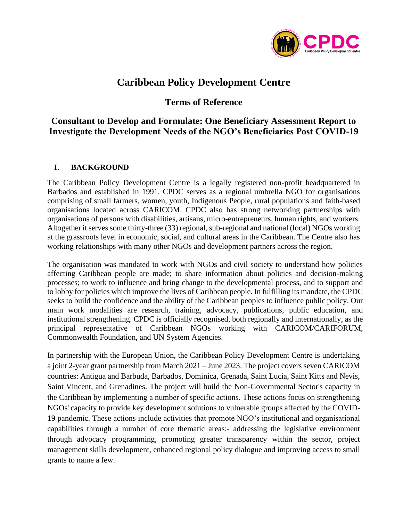

# **Caribbean Policy Development Centre**

## **Terms of Reference**

## **Consultant to Develop and Formulate: One Beneficiary Assessment Report to Investigate the Development Needs of the NGO's Beneficiaries Post COVID-19**

## **I. BACKGROUND**

The Caribbean Policy Development Centre is a legally registered non-profit headquartered in Barbados and established in 1991. CPDC serves as a regional umbrella NGO for organisations comprising of small farmers, women, youth, Indigenous People, rural populations and faith-based organisations located across CARICOM. CPDC also has strong networking partnerships with organisations of persons with disabilities, artisans, micro-entrepreneurs, human rights, and workers. Altogether it serves some thirty-three (33) regional, sub-regional and national (local) NGOs working at the grassroots level in economic, social, and cultural areas in the Caribbean. The Centre also has working relationships with many other NGOs and development partners across the region.

The organisation was mandated to work with NGOs and civil society to understand how policies affecting Caribbean people are made; to share information about policies and decision-making processes; to work to influence and bring change to the developmental process, and to support and to lobby for policies which improve the lives of Caribbean people. In fulfilling its mandate, the CPDC seeks to build the confidence and the ability of the Caribbean peoples to influence public policy. Our main work modalities are research, training, advocacy, publications, public education, and institutional strengthening. CPDC is officially recognised, both regionally and internationally, as the principal representative of Caribbean NGOs working with CARICOM/CARIFORUM, Commonwealth Foundation, and UN System Agencies.

In partnership with the European Union, the Caribbean Policy Development Centre is undertaking a joint 2-year grant partnership from March 2021 – June 2023. The project covers seven CARICOM countries: Antigua and Barbuda, Barbados, Dominica, Grenada, Saint Lucia, Saint Kitts and Nevis, Saint Vincent, and Grenadines. The project will build the Non-Governmental Sector's capacity in the Caribbean by implementing a number of specific actions. These actions focus on strengthening NGOs' capacity to provide key development solutions to vulnerable groups affected by the COVID-19 pandemic. These actions include activities that promote NGO's institutional and organisational capabilities through a number of core thematic areas:- addressing the legislative environment through advocacy programming, promoting greater transparency within the sector, project management skills development, enhanced regional policy dialogue and improving access to small grants to name a few.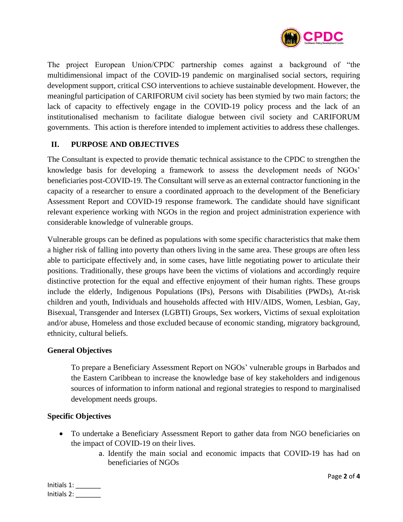

The project European Union/CPDC partnership comes against a background of "the multidimensional impact of the COVID-19 pandemic on marginalised social sectors, requiring development support, critical CSO interventions to achieve sustainable development. However, the meaningful participation of CARIFORUM civil society has been stymied by two main factors; the lack of capacity to effectively engage in the COVID-19 policy process and the lack of an institutionalised mechanism to facilitate dialogue between civil society and CARIFORUM governments. This action is therefore intended to implement activities to address these challenges.

## **II. PURPOSE AND OBJECTIVES**

The Consultant is expected to provide thematic technical assistance to the CPDC to strengthen the knowledge basis for developing a framework to assess the development needs of NGOs' beneficiaries post-COVID-19. The Consultant will serve as an external contractor functioning in the capacity of a researcher to ensure a coordinated approach to the development of the Beneficiary Assessment Report and COVID-19 response framework. The candidate should have significant relevant experience working with NGOs in the region and project administration experience with considerable knowledge of vulnerable groups.

Vulnerable groups can be defined as populations with some specific characteristics that make them a higher risk of falling into poverty than others living in the same area. These groups are often less able to participate effectively and, in some cases, have little negotiating power to articulate their positions. Traditionally, these groups have been the victims of violations and accordingly require distinctive protection for the equal and effective enjoyment of their human rights. These groups include the elderly, Indigenous Populations (IPs), Persons with Disabilities (PWDs), At-risk children and youth, Individuals and households affected with HIV/AIDS, Women, Lesbian, Gay, Bisexual, Transgender and Intersex (LGBTI) Groups, Sex workers, Victims of sexual exploitation and/or abuse, Homeless and those excluded because of economic standing, migratory background, ethnicity, cultural beliefs.

## **General Objectives**

To prepare a Beneficiary Assessment Report on NGOs' vulnerable groups in Barbados and the Eastern Caribbean to increase the knowledge base of key stakeholders and indigenous sources of information to inform national and regional strategies to respond to marginalised development needs groups.

## **Specific Objectives**

- To undertake a Beneficiary Assessment Report to gather data from NGO beneficiaries on the impact of COVID-19 on their lives.
	- a. Identify the main social and economic impacts that COVID-19 has had on beneficiaries of NGOs

Initials 1: \_\_\_\_\_\_\_ Initials 2: \_\_\_\_\_\_\_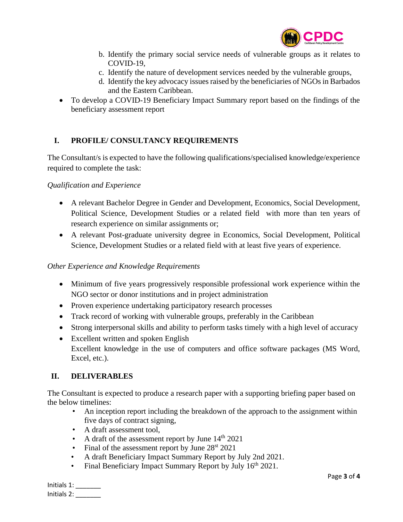

- b. Identify the primary social service needs of vulnerable groups as it relates to COVID-19,
- c. Identify the nature of development services needed by the vulnerable groups,
- d. Identify the key advocacy issues raised by the beneficiaries of NGOs in Barbados and the Eastern Caribbean.
- To develop a COVID-19 Beneficiary Impact Summary report based on the findings of the beneficiary assessment report

## **I. PROFILE/ CONSULTANCY REQUIREMENTS**

The Consultant/s is expected to have the following qualifications/specialised knowledge/experience required to complete the task:

## *Qualification and Experience*

- A relevant Bachelor Degree in Gender and Development, Economics, Social Development, Political Science, Development Studies or a related field with more than ten years of research experience on similar assignments or;
- A relevant Post-graduate university degree in Economics, Social Development, Political Science, Development Studies or a related field with at least five years of experience.

## *Other Experience and Knowledge Requirements*

- Minimum of five years progressively responsible professional work experience within the NGO sector or donor institutions and in project administration
- Proven experience undertaking participatory research processes
- Track record of working with vulnerable groups, preferably in the Caribbean
- Strong interpersonal skills and ability to perform tasks timely with a high level of accuracy
- Excellent written and spoken English Excellent knowledge in the use of computers and office software packages (MS Word, Excel, etc.).

## **II. DELIVERABLES**

The Consultant is expected to produce a research paper with a supporting briefing paper based on the below timelines:

- An inception report including the breakdown of the approach to the assignment within five days of contract signing,
- A draft assessment tool,
- A draft of the assessment report by June  $14<sup>th</sup> 2021$
- Final of the assessment report by June  $28<sup>st</sup> 2021$
- A draft Beneficiary Impact Summary Report by July 2nd 2021.
- Final Beneficiary Impact Summary Report by July 16<sup>th</sup> 2021.

| Initials 1: |  |
|-------------|--|
| Initials 2: |  |